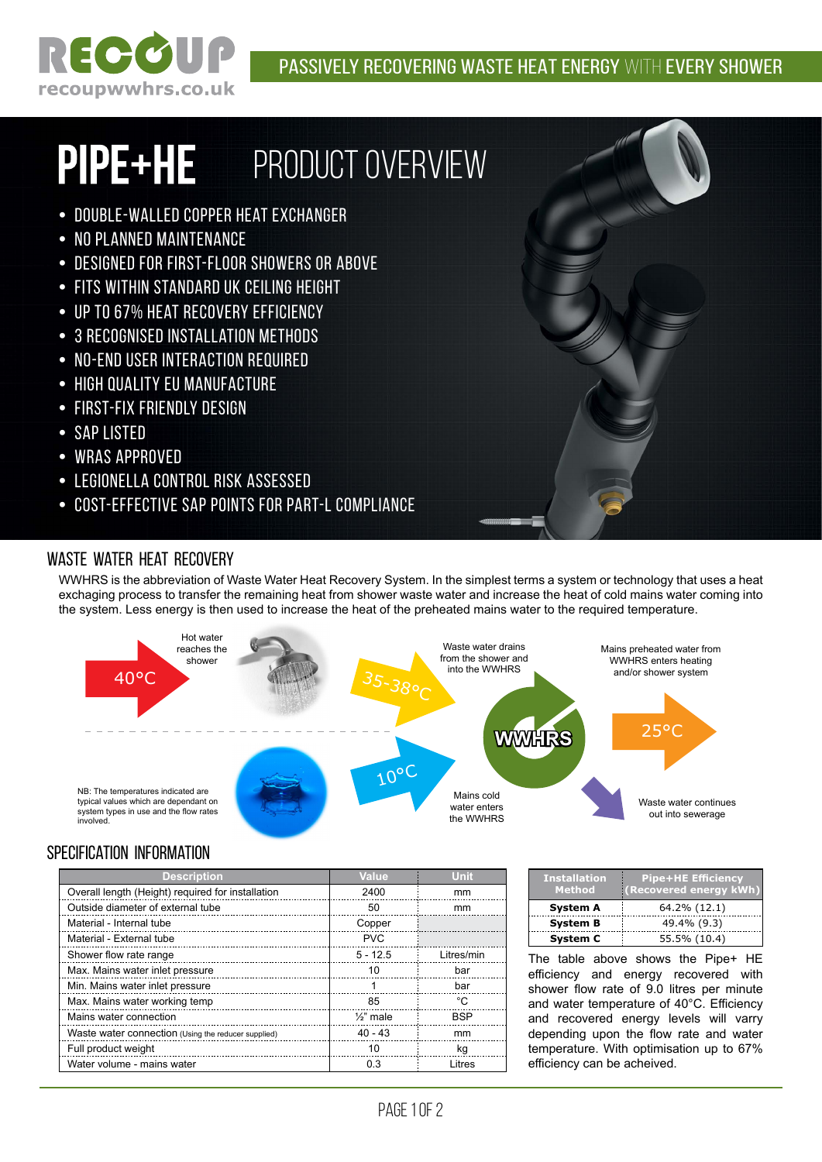

# PIPE+HE PRODUCT OVERVIEW

- Double-walled copper heat exchanger
- No planned maintenance
- Designed for first-floor showers or above
- Fits within standard UK ceiling height
- Up to 67% heat recovery efficiency
- 3 recognised installation methods
- No-end user interaction required
- High quality EU manufacture
- First-fix friendly design
- SAP listed
- WRAS approved
- Legionella Control risk assessed
- Cost-effective SAP points for Part-L Compliance

### Waste water heat recovery

WWHRS is the abbreviation of Waste Water Heat Recovery System. In the simplest terms a system or technology that uses a heat exchaging process to transfer the remaining heat from shower waste water and increase the heat of cold mains water coming into the system. Less energy is then used to increase the heat of the preheated mains water to the required temperature.



## specification information

| <b>Description</b>                                  | <b>Value</b>         | <b>Unit</b> |
|-----------------------------------------------------|----------------------|-------------|
| Overall length (Height) required for installation   | 2400                 | mm          |
| Outside diameter of external tube                   | 50                   | mm          |
| Material - Internal tube                            | Copper               |             |
| Material - External tube                            | <b>PVC</b>           |             |
| Shower flow rate range                              | $5 - 12.5$           | Litres/min  |
| Max. Mains water inlet pressure                     | 10                   | bar         |
| Min. Mains water inlet pressure                     |                      | bar         |
| Max. Mains water working temp                       | 85                   | °C          |
| Mains water connection                              | $\frac{1}{2}$ " male | <b>BSP</b>  |
| Waste water connection (Using the reducer supplied) | $40 - 43$            | mm          |
| Full product weight                                 | 10                   | kq          |
| Water volume - mains water                          | 0.3                  | Litres      |

| <b>Installation</b><br><b>Method</b> | <b>Pipe+HE Efficiency</b><br>(Recovered energy kWh) |
|--------------------------------------|-----------------------------------------------------|
| <b>System A</b>                      | 64.2% (12.1)                                        |
| <b>System B</b>                      | 49.4% (9.3)                                         |
| <b>System C</b>                      | 55.5% (10.4)                                        |

The table above shows the Pipe+ HE efficiency and energy recovered with shower flow rate of 9.0 litres per minute and water temperature of 40°C. Efficiency and recovered energy levels will varry depending upon the flow rate and water temperature. With optimisation up to 67% efficiency can be acheived.